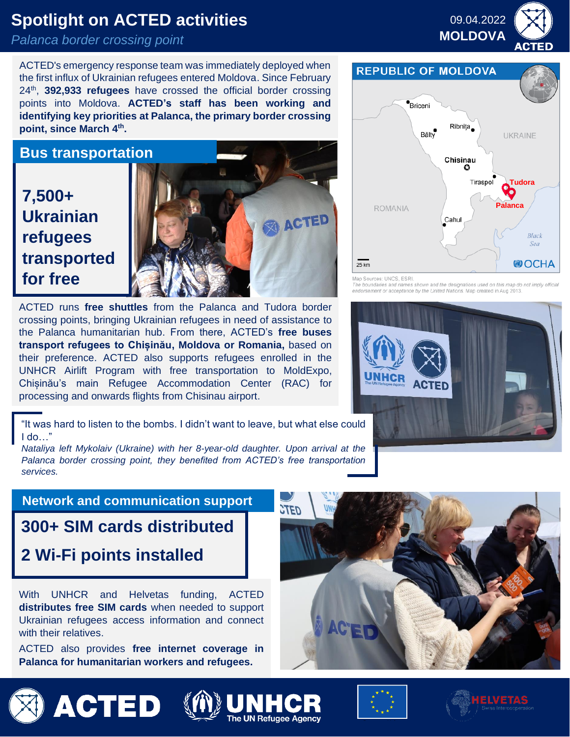# **Spotlight on ACTED activities**

## *Palanca border crossing point*

ACTED's emergency response team was immediately deployed when the first influx of Ukrainian refugees entered Moldova. Since February 24<sup>th</sup>, **392,933 refugees** have crossed the official border crossing points into Moldova. **ACTED's staff has been working and identifying key priorities at Palanca, the primary border crossing point, since March 4th .**

**Bus transportation**

# **7,500+ Ukrainian refugees transported for free**



**MOLDOVA CONSTRUCTED FOR STATE OF ALCOHOLOGICAL STATE OF ALCOHOLOGICAL ACTED runs free shuttles** from the Palanca and Tudora border crossing points, bringing Ukrainian refugees in need of assistance to the Palanca humanitarian hub. From there, ACTED's **free buses transport refugees to Chișinău, Moldova or Romania,** based on their preference. ACTED also supports refugees enrolled in the UNHCR Airlift Program with free transportation to MoldExpo, Chișinău's main Refugee Accommodation Center (RAC) for processing and onwards flights from Chisinau airport.

"It was hard to listen to the bombs. I didn't want to leave, but what else could I do…"

*Nataliya left Mykolaiv (Ukraine) with her 8-year-old daughter. Upon arrival at the Palanca border crossing point, they benefited from ACTED's free transportation services.*

## **Network and communication support**

**300+ SIM cards distributed 2 Wi-Fi points installed**

With UNHCR and Helvetas funding, ACTED **distributes free SIM cards** when needed to support Ukrainian refugees access information and connect with their relatives.

ACTED also provides **free internet coverage in Palanca for humanitarian workers and refugees.**



**REPUBLIC OF MOLDOVA** 



Map Sources: UNCS, ESR

aries and names shown and the designations used on this map do<br>Int or acceptance by the United Nations. Map created in Aug 2013.